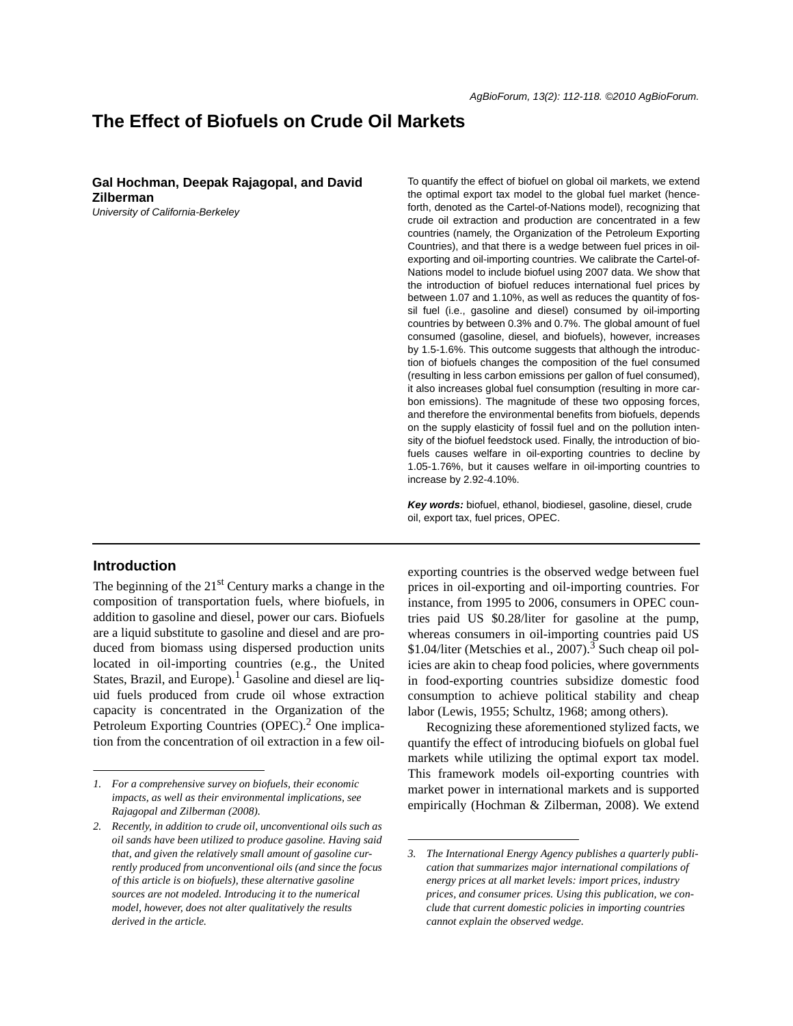# **The Effect of Biofuels on Crude Oil Markets**

**Gal Hochman, Deepak Rajagopal, and David Zilberman**

*University of California-Berkeley*

the optimal export tax model to the global fuel market (henceforth, denoted as the Cartel-of-Nations model), recognizing that crude oil extraction and production are concentrated in a few countries (namely, the Organization of the Petroleum Exporting Countries), and that there is a wedge between fuel prices in oilexporting and oil-importing countries. We calibrate the Cartel-of-Nations model to include biofuel using 2007 data. We show that the introduction of biofuel reduces international fuel prices by between 1.07 and 1.10%, as well as reduces the quantity of fossil fuel (i.e., gasoline and diesel) consumed by oil-importing countries by between 0.3% and 0.7%. The global amount of fuel consumed (gasoline, diesel, and biofuels), however, increases by 1.5-1.6%. This outcome suggests that although the introduction of biofuels changes the composition of the fuel consumed (resulting in less carbon emissions per gallon of fuel consumed), it also increases global fuel consumption (resulting in more carbon emissions). The magnitude of these two opposing forces, and therefore the environmental benefits from biofuels, depends on the supply elasticity of fossil fuel and on the pollution intensity of the biofuel feedstock used. Finally, the introduction of biofuels causes welfare in oil-exporting countries to decline by 1.05-1.76%, but it causes welfare in oil-importing countries to increase by 2.92-4.10%.

To quantify the effect of biofuel on global oil markets, we extend

*Key words:* biofuel, ethanol, biodiesel, gasoline, diesel, crude oil, export tax, fuel prices, OPEC.

## **Introduction**

The beginning of the  $21<sup>st</sup>$  Century marks a change in the composition of transportation fuels, where biofuels, in addition to gasoline and diesel, power our cars. Biofuels are a liquid substitute to gasoline and diesel and are produced from biomass using dispersed production units located in oil-importing countries (e.g., the United States, Brazil, and Europe).<sup>1</sup> Gasoline and diesel are liquid fuels produced from crude oil whose extraction capacity is concentrated in the Organization of the Petroleum Exporting Countries (OPEC).<sup>2</sup> One implication from the concentration of oil extraction in a few oilexporting countries is the observed wedge between fuel prices in oil-exporting and oil-importing countries. For instance, from 1995 to 2006, consumers in OPEC countries paid US \$0.28/liter for gasoline at the pump, whereas consumers in oil-importing countries paid US  $$1.04$ /liter (Metschies et al., 2007).<sup>3</sup> Such cheap oil policies are akin to cheap food policies, where governments in food-exporting countries subsidize domestic food consumption to achieve political stability and cheap labor (Lewis, 1955; Schultz, 1968; among others).

Recognizing these aforementioned stylized facts, we quantify the effect of introducing biofuels on global fuel markets while utilizing the optimal export tax model. This framework models oil-exporting countries with market power in international markets and is supported empirically (Hochman & Zilberman, 2008). We extend

*<sup>1.</sup> For a comprehensive survey on biofuels, their economic impacts, as well as their environmental implications, see Rajagopal and Zilberman (2008).*

*<sup>2.</sup> Recently, in addition to crude oil, unconventional oils such as oil sands have been utilized to produce gasoline. Having said that, and given the relatively small amount of gasoline currently produced from unconventional oils (and since the focus of this article is on biofuels), these alternative gasoline sources are not modeled. Introducing it to the numerical model, however, does not alter qualitatively the results derived in the article.*

*<sup>3.</sup> The International Energy Agency publishes a quarterly publication that summarizes major international compilations of energy prices at all market levels: import prices, industry prices, and consumer prices. Using this publication, we conclude that current domestic policies in importing countries cannot explain the observed wedge.*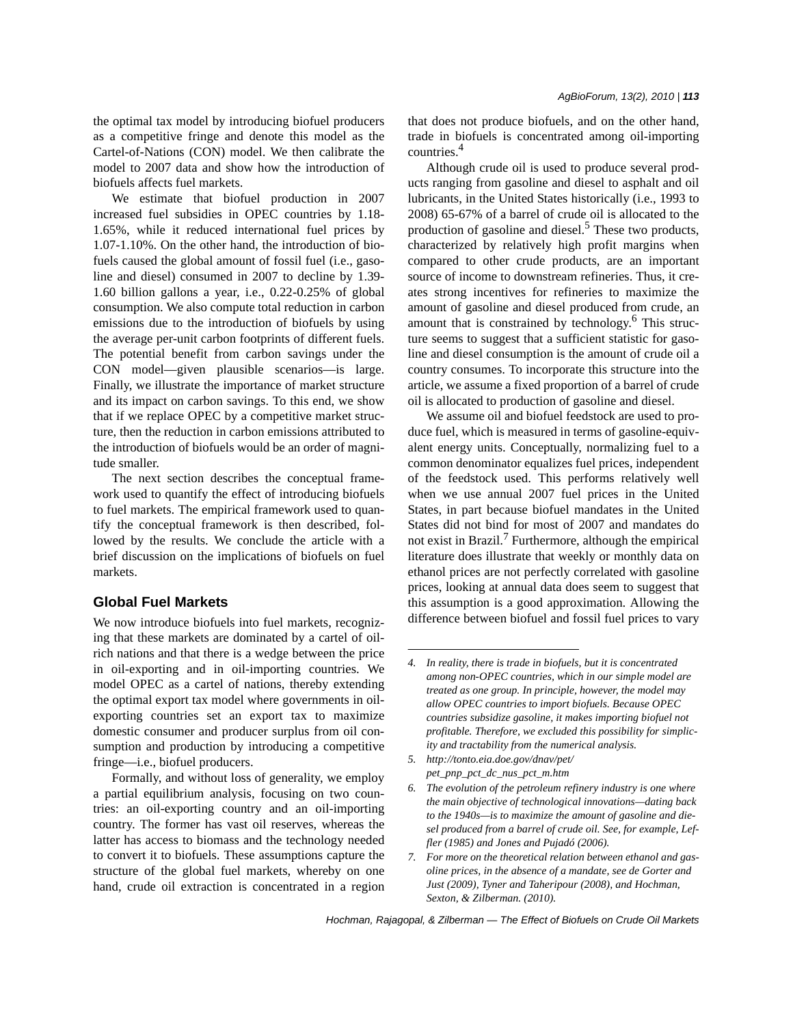the optimal tax model by introducing biofuel producers as a competitive fringe and denote this model as the Cartel-of-Nations (CON) model. We then calibrate the model to 2007 data and show how the introduction of biofuels affects fuel markets.

We estimate that biofuel production in 2007 increased fuel subsidies in OPEC countries by 1.18- 1.65%, while it reduced international fuel prices by 1.07-1.10%. On the other hand, the introduction of biofuels caused the global amount of fossil fuel (i.e., gasoline and diesel) consumed in 2007 to decline by 1.39- 1.60 billion gallons a year, i.e., 0.22-0.25% of global consumption. We also compute total reduction in carbon emissions due to the introduction of biofuels by using the average per-unit carbon footprints of different fuels. The potential benefit from carbon savings under the CON model—given plausible scenarios—is large. Finally, we illustrate the importance of market structure and its impact on carbon savings. To this end, we show that if we replace OPEC by a competitive market structure, then the reduction in carbon emissions attributed to the introduction of biofuels would be an order of magnitude smaller.

The next section describes the conceptual framework used to quantify the effect of introducing biofuels to fuel markets. The empirical framework used to quantify the conceptual framework is then described, followed by the results. We conclude the article with a brief discussion on the implications of biofuels on fuel markets.

# **Global Fuel Markets**

We now introduce biofuels into fuel markets, recognizing that these markets are dominated by a cartel of oilrich nations and that there is a wedge between the price in oil-exporting and in oil-importing countries. We model OPEC as a cartel of nations, thereby extending the optimal export tax model where governments in oilexporting countries set an export tax to maximize domestic consumer and producer surplus from oil consumption and production by introducing a competitive fringe—i.e., biofuel producers.

Formally, and without loss of generality, we employ a partial equilibrium analysis, focusing on two countries: an oil-exporting country and an oil-importing country. The former has vast oil reserves, whereas the latter has access to biomass and the technology needed to convert it to biofuels. These assumptions capture the structure of the global fuel markets, whereby on one hand, crude oil extraction is concentrated in a region that does not produce biofuels, and on the other hand, trade in biofuels is concentrated among oil-importing countries.4

Although crude oil is used to produce several products ranging from gasoline and diesel to asphalt and oil lubricants, in the United States historically (i.e., 1993 to 2008) 65-67% of a barrel of crude oil is allocated to the production of gasoline and diesel.<sup>5</sup> These two products, characterized by relatively high profit margins when compared to other crude products, are an important source of income to downstream refineries. Thus, it creates strong incentives for refineries to maximize the amount of gasoline and diesel produced from crude, an amount that is constrained by technology.<sup>6</sup> This structure seems to suggest that a sufficient statistic for gasoline and diesel consumption is the amount of crude oil a country consumes. To incorporate this structure into the article, we assume a fixed proportion of a barrel of crude oil is allocated to production of gasoline and diesel.

We assume oil and biofuel feedstock are used to produce fuel, which is measured in terms of gasoline-equivalent energy units. Conceptually, normalizing fuel to a common denominator equalizes fuel prices, independent of the feedstock used. This performs relatively well when we use annual 2007 fuel prices in the United States, in part because biofuel mandates in the United States did not bind for most of 2007 and mandates do not exist in Brazil.<sup>7</sup> Furthermore, although the empirical literature does illustrate that weekly or monthly data on ethanol prices are not perfectly correlated with gasoline prices, looking at annual data does seem to suggest that this assumption is a good approximation. Allowing the difference between biofuel and fossil fuel prices to vary

*5. http://tonto.eia.doe.gov/dnav/pet/ pet\_pnp\_pct\_dc\_nus\_pct\_m.htm*

*7. For more on the theoretical relation between ethanol and gasoline prices, in the absence of a mandate, see de Gorter and Just (2009), Tyner and Taheripour (2008), and Hochman, Sexton, & Zilberman. (2010).*

*Hochman, Rajagopal, & Zilberman — The Effect of Biofuels on Crude Oil Markets*

*<sup>4.</sup> In reality, there is trade in biofuels, but it is concentrated among non-OPEC countries, which in our simple model are treated as one group. In principle, however, the model may allow OPEC countries to import biofuels. Because OPEC countries subsidize gasoline, it makes importing biofuel not profitable. Therefore, we excluded this possibility for simplicity and tractability from the numerical analysis.*

*<sup>6.</sup> The evolution of the petroleum refinery industry is one where the main objective of technological innovations—dating back to the 1940s—is to maximize the amount of gasoline and diesel produced from a barrel of crude oil. See, for example, Leffler (1985) and Jones and Pujadó (2006).*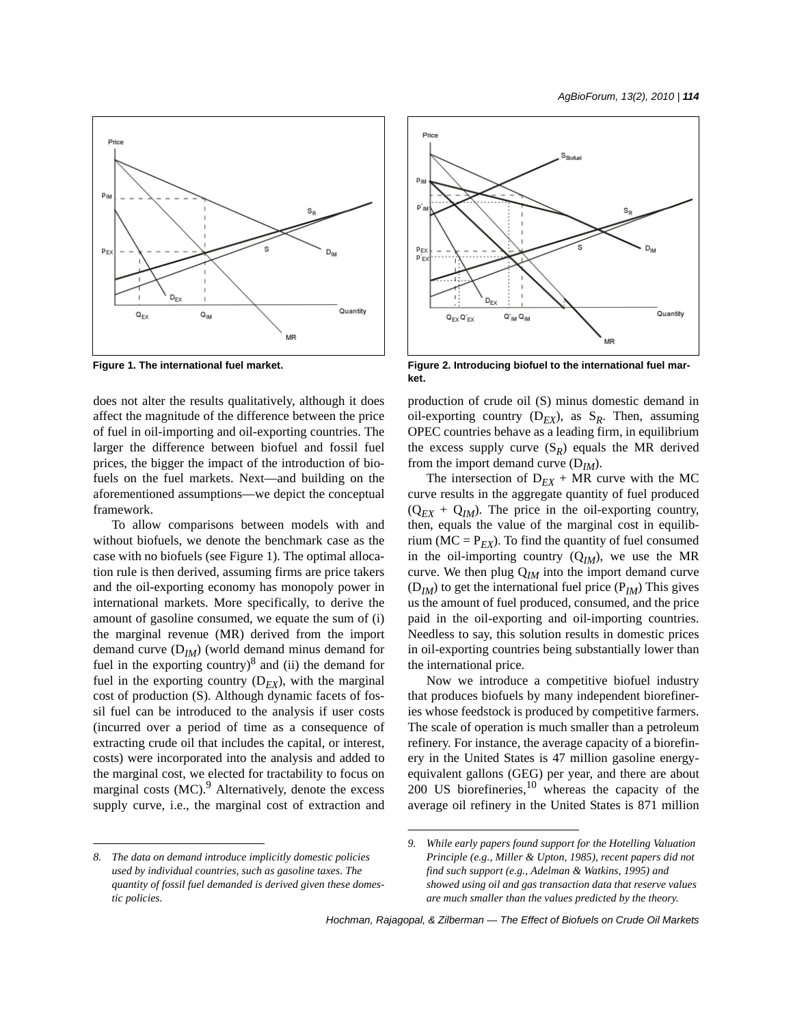

does not alter the results qualitatively, although it does affect the magnitude of the difference between the price of fuel in oil-importing and oil-exporting countries. The larger the difference between biofuel and fossil fuel prices, the bigger the impact of the introduction of biofuels on the fuel markets. Next—and building on the aforementioned assumptions—we depict the conceptual framework.

To allow comparisons between models with and without biofuels, we denote the benchmark case as the case with no biofuels (see Figure 1). The optimal allocation rule is then derived, assuming firms are price takers and the oil-exporting economy has monopoly power in international markets. More specifically, to derive the amount of gasoline consumed, we equate the sum of (i) the marginal revenue (MR) derived from the import demand curve (D*IM*) (world demand minus demand for fuel in the exporting country) $\delta$  and (ii) the demand for fuel in the exporting country  $(D_{EX})$ , with the marginal cost of production (S). Although dynamic facets of fossil fuel can be introduced to the analysis if user costs (incurred over a period of time as a consequence of extracting crude oil that includes the capital, or interest, costs) were incorporated into the analysis and added to the marginal cost, we elected for tractability to focus on marginal costs  $(MC)$ .<sup>9</sup> Alternatively, denote the excess supply curve, i.e., the marginal cost of extraction and



**Figure 1. The international fuel market. Figure 2. Introducing biofuel to the international fuel market.**

production of crude oil (S) minus domestic demand in oil-exporting country  $(D_{EX})$ , as  $S_R$ . Then, assuming OPEC countries behave as a leading firm, in equilibrium the excess supply curve  $(S_R)$  equals the MR derived from the import demand curve (D*IM*).

The intersection of  $D_{EX}$  + MR curve with the MC curve results in the aggregate quantity of fuel produced  $(Q_{EX} + Q_{IM})$ . The price in the oil-exporting country, then, equals the value of the marginal cost in equilibrium ( $MC = P_{EX}$ ). To find the quantity of fuel consumed in the oil-importing country  $(Q_{IM})$ , we use the MR curve. We then plug  $Q_{IM}$  into the import demand curve  $(D_{IM})$  to get the international fuel price  $(P_{IM})$  This gives us the amount of fuel produced, consumed, and the price paid in the oil-exporting and oil-importing countries. Needless to say, this solution results in domestic prices in oil-exporting countries being substantially lower than the international price.

Now we introduce a competitive biofuel industry that produces biofuels by many independent biorefineries whose feedstock is produced by competitive farmers. The scale of operation is much smaller than a petroleum refinery. For instance, the average capacity of a biorefinery in the United States is 47 million gasoline energyequivalent gallons (GEG) per year, and there are about  $200$  US biorefineries,  $10$  whereas the capacity of the average oil refinery in the United States is 871 million

*<sup>8.</sup> The data on demand introduce implicitly domestic policies used by individual countries, such as gasoline taxes. The quantity of fossil fuel demanded is derived given these domestic policies.*

*<sup>9.</sup> While early papers found support for the Hotelling Valuation Principle (e.g., Miller & Upton, 1985), recent papers did not find such support (e.g., Adelman & Watkins, 1995) and showed using oil and gas transaction data that reserve values are much smaller than the values predicted by the theory.*

*Hochman, Rajagopal, & Zilberman — The Effect of Biofuels on Crude Oil Markets*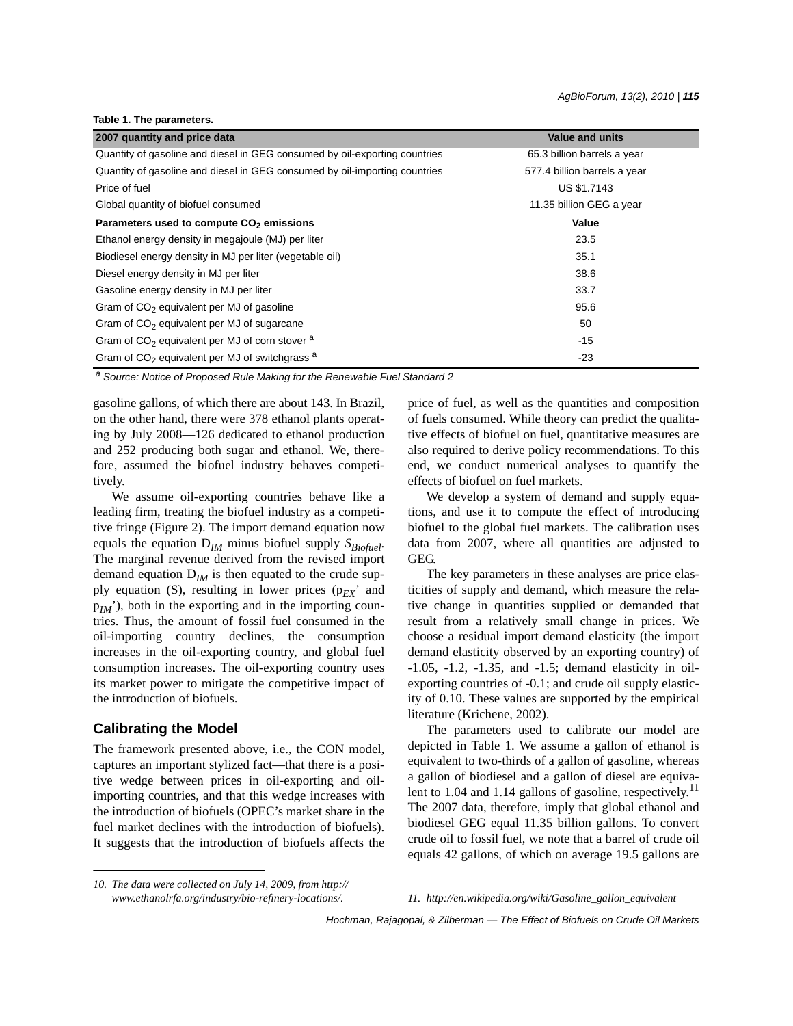#### **Table 1. The parameters.**

| 2007 quantity and price data                                               | <b>Value and units</b>       |
|----------------------------------------------------------------------------|------------------------------|
| Quantity of gasoline and diesel in GEG consumed by oil-exporting countries | 65.3 billion barrels a year  |
| Quantity of gasoline and diesel in GEG consumed by oil-importing countries | 577.4 billion barrels a year |
| Price of fuel                                                              | <b>US \$1.7143</b>           |
| Global quantity of biofuel consumed                                        | 11.35 billion GEG a year     |
| Parameters used to compute CO <sub>2</sub> emissions                       | Value                        |
| Ethanol energy density in megajoule (MJ) per liter                         | 23.5                         |
| Biodiesel energy density in MJ per liter (vegetable oil)                   | 35.1                         |
| Diesel energy density in MJ per liter                                      | 38.6                         |
| Gasoline energy density in MJ per liter                                    | 33.7                         |
| Gram of $CO2$ equivalent per MJ of gasoline                                | 95.6                         |
| Gram of CO <sub>2</sub> equivalent per MJ of sugarcane                     | 50                           |
| Gram of $CO2$ equivalent per MJ of corn stover $a$                         | $-15$                        |
| Gram of $CO2$ equivalent per MJ of switchgrass $a$                         | $-23$                        |

*a Source: Notice of Proposed Rule Making for the Renewable Fuel Standard 2*

gasoline gallons, of which there are about 143. In Brazil, on the other hand, there were 378 ethanol plants operating by July 2008—126 dedicated to ethanol production and 252 producing both sugar and ethanol. We, therefore, assumed the biofuel industry behaves competitively.

We assume oil-exporting countries behave like a leading firm, treating the biofuel industry as a competitive fringe (Figure 2). The import demand equation now equals the equation  $D_{IM}$  minus biofuel supply  $S_{Biofuel}$ . The marginal revenue derived from the revised import demand equation  $D_{IM}$  is then equated to the crude supply equation (S), resulting in lower prices  $(p_{EX}$ <sup>2</sup> and  $p_{I,M}$ '), both in the exporting and in the importing countries. Thus, the amount of fossil fuel consumed in the oil-importing country declines, the consumption increases in the oil-exporting country, and global fuel consumption increases. The oil-exporting country uses its market power to mitigate the competitive impact of the introduction of biofuels.

### **Calibrating the Model**

The framework presented above, i.e., the CON model, captures an important stylized fact—that there is a positive wedge between prices in oil-exporting and oilimporting countries, and that this wedge increases with the introduction of biofuels (OPEC's market share in the fuel market declines with the introduction of biofuels). It suggests that the introduction of biofuels affects the price of fuel, as well as the quantities and composition of fuels consumed. While theory can predict the qualitative effects of biofuel on fuel, quantitative measures are also required to derive policy recommendations. To this end, we conduct numerical analyses to quantify the effects of biofuel on fuel markets.

We develop a system of demand and supply equations, and use it to compute the effect of introducing biofuel to the global fuel markets. The calibration uses data from 2007, where all quantities are adjusted to GEG.

The key parameters in these analyses are price elasticities of supply and demand, which measure the relative change in quantities supplied or demanded that result from a relatively small change in prices. We choose a residual import demand elasticity (the import demand elasticity observed by an exporting country) of -1.05, -1.2, -1.35, and -1.5; demand elasticity in oilexporting countries of -0.1; and crude oil supply elasticity of 0.10. These values are supported by the empirical literature (Krichene, 2002).

The parameters used to calibrate our model are depicted in Table 1. We assume a gallon of ethanol is equivalent to two-thirds of a gallon of gasoline, whereas a gallon of biodiesel and a gallon of diesel are equivalent to 1.04 and 1.14 gallons of gasoline, respectively.<sup>11</sup> The 2007 data, therefore, imply that global ethanol and biodiesel GEG equal 11.35 billion gallons. To convert crude oil to fossil fuel, we note that a barrel of crude oil equals 42 gallons, of which on average 19.5 gallons are

*Hochman, Rajagopal, & Zilberman — The Effect of Biofuels on Crude Oil Markets*

*<sup>10.</sup> The data were collected on July 14, 2009, from http://*

*www.ethanolrfa.org/industry/bio-refinery-locations/. 11. http://en.wikipedia.org/wiki/Gasoline\_gallon\_equivalent*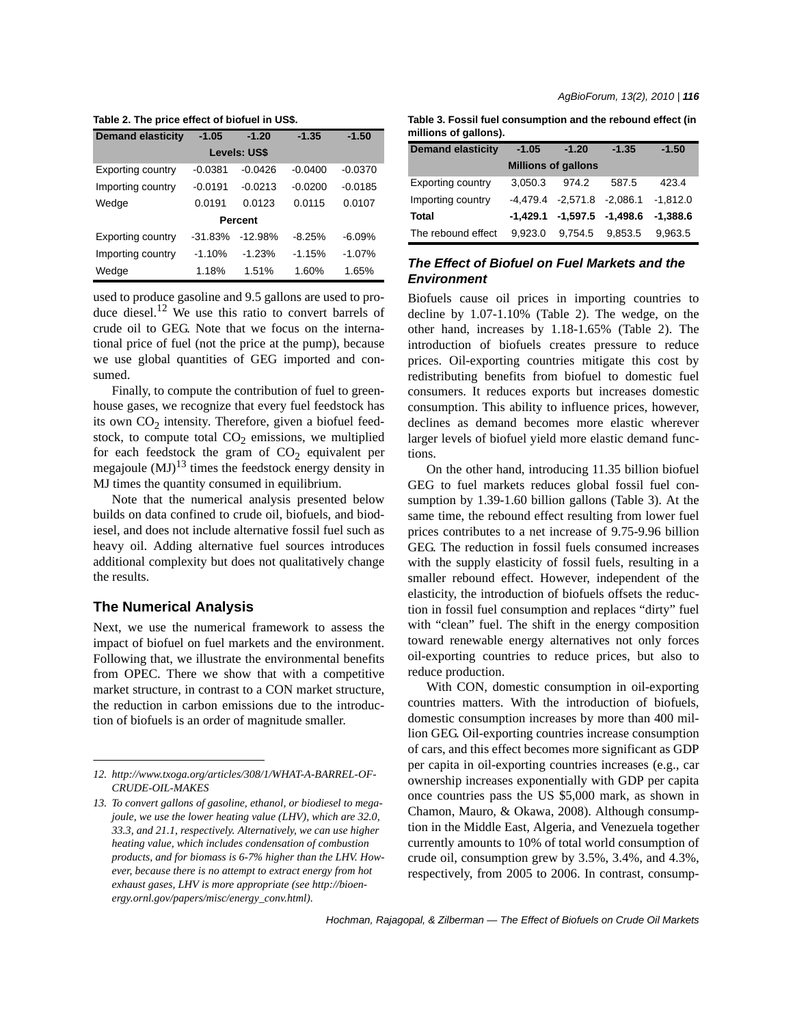**Table 2. The price effect of biofuel in US\$.**

| <b>Demand elasticity</b> | $-1.05$   | $-1.20$   | $-1.35$   | $-1.50$   |  |  |  |
|--------------------------|-----------|-----------|-----------|-----------|--|--|--|
| Levels: US\$             |           |           |           |           |  |  |  |
| <b>Exporting country</b> | $-0.0381$ | $-0.0426$ | $-0.0400$ | $-0.0370$ |  |  |  |
| Importing country        | $-0.0191$ | $-0.0213$ | $-0.0200$ | $-0.0185$ |  |  |  |
| Wedge                    | 0.0191    | 0.0123    | 0.0115    | 0.0107    |  |  |  |
| Percent                  |           |           |           |           |  |  |  |
| Exporting country        | $-31.83%$ | $-12.98%$ | $-8.25%$  | $-6.09%$  |  |  |  |
| Importing country        | $-1.10%$  | $-1.23%$  | $-1.15%$  | $-1.07%$  |  |  |  |
| Wedge                    | 1.18%     | 1.51%     | 1.60%     | 1.65%     |  |  |  |

used to produce gasoline and 9.5 gallons are used to produce diesel.<sup>12</sup> We use this ratio to convert barrels of crude oil to GEG. Note that we focus on the international price of fuel (not the price at the pump), because we use global quantities of GEG imported and consumed.

Finally, to compute the contribution of fuel to greenhouse gases, we recognize that every fuel feedstock has its own  $CO<sub>2</sub>$  intensity. Therefore, given a biofuel feedstock, to compute total  $CO<sub>2</sub>$  emissions, we multiplied for each feedstock the gram of  $CO<sub>2</sub>$  equivalent per megajoule  $(MJ)^{13}$  times the feedstock energy density in MJ times the quantity consumed in equilibrium.

Note that the numerical analysis presented below builds on data confined to crude oil, biofuels, and biodiesel, and does not include alternative fossil fuel such as heavy oil. Adding alternative fuel sources introduces additional complexity but does not qualitatively change the results.

## **The Numerical Analysis**

Next, we use the numerical framework to assess the impact of biofuel on fuel markets and the environment. Following that, we illustrate the environmental benefits from OPEC. There we show that with a competitive market structure, in contrast to a CON market structure, the reduction in carbon emissions due to the introduction of biofuels is an order of magnitude smaller.

| Table 3. Fossil fuel consumption and the rebound effect (in |  |
|-------------------------------------------------------------|--|
| millions of gallons).                                       |  |

| <b>Demand elasticity</b>   | $-1.05$ | $-1.20$                          | $-1.35$ | $-1.50$    |  |  |  |  |
|----------------------------|---------|----------------------------------|---------|------------|--|--|--|--|
| <b>Millions of gallons</b> |         |                                  |         |            |  |  |  |  |
| <b>Exporting country</b>   | 3.050.3 | 974.2                            | 587.5   | 423.4      |  |  |  |  |
| Importing country          |         | $-4,479.4$ $-2,571.8$ $-2,086.1$ |         | $-1.812.0$ |  |  |  |  |
| <b>Total</b>               |         | $-1,429.1$ $-1,597.5$ $-1,498.6$ |         | $-1.388.6$ |  |  |  |  |
| The rebound effect         | 9.923.0 | 9.754.5                          | 9.853.5 | 9.963.5    |  |  |  |  |

# *The Effect of Biofuel on Fuel Markets and the Environment*

Biofuels cause oil prices in importing countries to decline by 1.07-1.10% (Table 2). The wedge, on the other hand, increases by 1.18-1.65% (Table 2). The introduction of biofuels creates pressure to reduce prices. Oil-exporting countries mitigate this cost by redistributing benefits from biofuel to domestic fuel consumers. It reduces exports but increases domestic consumption. This ability to influence prices, however, declines as demand becomes more elastic wherever larger levels of biofuel yield more elastic demand functions.

On the other hand, introducing 11.35 billion biofuel GEG to fuel markets reduces global fossil fuel consumption by 1.39-1.60 billion gallons (Table 3). At the same time, the rebound effect resulting from lower fuel prices contributes to a net increase of 9.75-9.96 billion GEG. The reduction in fossil fuels consumed increases with the supply elasticity of fossil fuels, resulting in a smaller rebound effect. However, independent of the elasticity, the introduction of biofuels offsets the reduction in fossil fuel consumption and replaces "dirty" fuel with "clean" fuel. The shift in the energy composition toward renewable energy alternatives not only forces oil-exporting countries to reduce prices, but also to reduce production.

With CON, domestic consumption in oil-exporting countries matters. With the introduction of biofuels, domestic consumption increases by more than 400 million GEG. Oil-exporting countries increase consumption of cars, and this effect becomes more significant as GDP per capita in oil-exporting countries increases (e.g., car ownership increases exponentially with GDP per capita once countries pass the US \$5,000 mark, as shown in Chamon, Mauro, & Okawa, 2008). Although consumption in the Middle East, Algeria, and Venezuela together currently amounts to 10% of total world consumption of crude oil, consumption grew by 3.5%, 3.4%, and 4.3%, respectively, from 2005 to 2006. In contrast, consump-

*Hochman, Rajagopal, & Zilberman — The Effect of Biofuels on Crude Oil Markets*

*<sup>12.</sup> http://www.txoga.org/articles/308/1/WHAT-A-BARREL-OF-CRUDE-OIL-MAKES*

*<sup>13.</sup> To convert gallons of gasoline, ethanol, or biodiesel to megajoule, we use the lower heating value (LHV), which are 32.0, 33.3, and 21.1, respectively. Alternatively, we can use higher heating value, which includes condensation of combustion products, and for biomass is 6-7% higher than the LHV. However, because there is no attempt to extract energy from hot exhaust gases, LHV is more appropriate (see http://bioenergy.ornl.gov/papers/misc/energy\_conv.html).*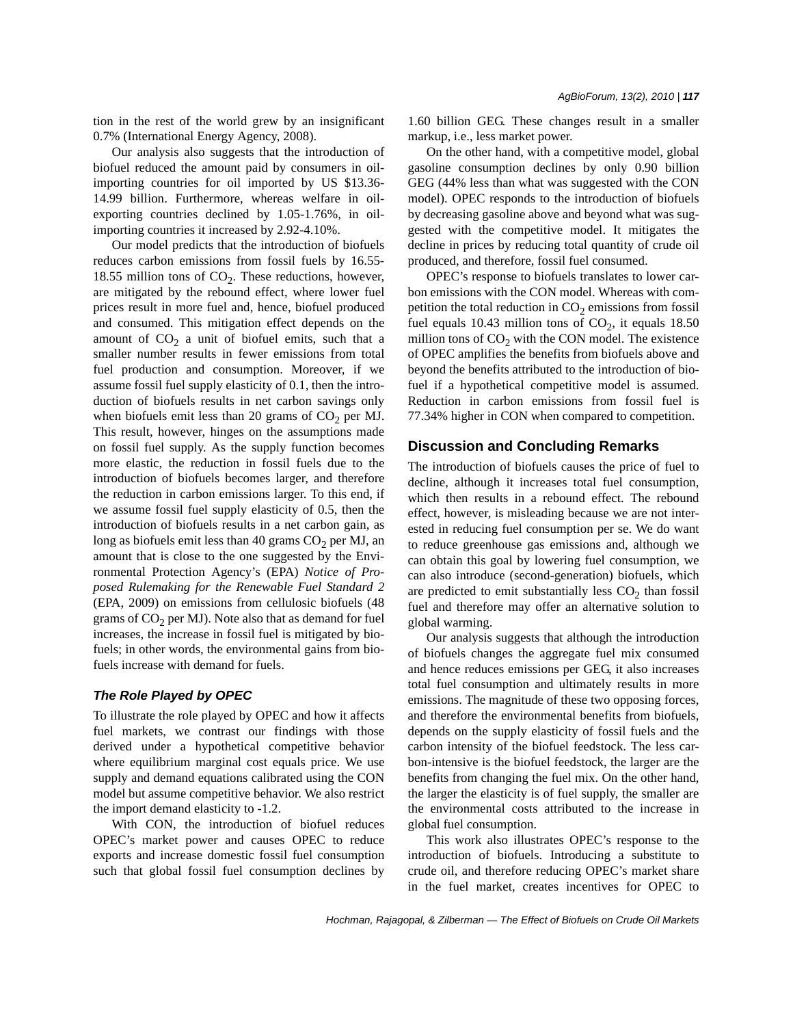tion in the rest of the world grew by an insignificant 0.7% (International Energy Agency, 2008).

Our analysis also suggests that the introduction of biofuel reduced the amount paid by consumers in oilimporting countries for oil imported by US \$13.36- 14.99 billion. Furthermore, whereas welfare in oilexporting countries declined by 1.05-1.76%, in oilimporting countries it increased by 2.92-4.10%.

Our model predicts that the introduction of biofuels reduces carbon emissions from fossil fuels by 16.55- 18.55 million tons of  $CO<sub>2</sub>$ . These reductions, however, are mitigated by the rebound effect, where lower fuel prices result in more fuel and, hence, biofuel produced and consumed. This mitigation effect depends on the amount of  $CO<sub>2</sub>$  a unit of biofuel emits, such that a smaller number results in fewer emissions from total fuel production and consumption. Moreover, if we assume fossil fuel supply elasticity of 0.1, then the introduction of biofuels results in net carbon savings only when biofuels emit less than 20 grams of  $CO<sub>2</sub>$  per MJ. This result, however, hinges on the assumptions made on fossil fuel supply. As the supply function becomes more elastic, the reduction in fossil fuels due to the introduction of biofuels becomes larger, and therefore the reduction in carbon emissions larger. To this end, if we assume fossil fuel supply elasticity of 0.5, then the introduction of biofuels results in a net carbon gain, as long as biofuels emit less than 40 grams  $CO<sub>2</sub>$  per MJ, an amount that is close to the one suggested by the Environmental Protection Agency's (EPA) *Notice of Proposed Rulemaking for the Renewable Fuel Standard 2* (EPA, 2009) on emissions from cellulosic biofuels (48 grams of  $CO<sub>2</sub>$  per MJ). Note also that as demand for fuel increases, the increase in fossil fuel is mitigated by biofuels; in other words, the environmental gains from biofuels increase with demand for fuels.

### *The Role Played by OPEC*

To illustrate the role played by OPEC and how it affects fuel markets, we contrast our findings with those derived under a hypothetical competitive behavior where equilibrium marginal cost equals price. We use supply and demand equations calibrated using the CON model but assume competitive behavior. We also restrict the import demand elasticity to -1.2.

With CON, the introduction of biofuel reduces OPEC's market power and causes OPEC to reduce exports and increase domestic fossil fuel consumption such that global fossil fuel consumption declines by

1.60 billion GEG. These changes result in a smaller markup, i.e., less market power.

On the other hand, with a competitive model, global gasoline consumption declines by only 0.90 billion GEG (44% less than what was suggested with the CON model). OPEC responds to the introduction of biofuels by decreasing gasoline above and beyond what was suggested with the competitive model. It mitigates the decline in prices by reducing total quantity of crude oil produced, and therefore, fossil fuel consumed.

OPEC's response to biofuels translates to lower carbon emissions with the CON model. Whereas with competition the total reduction in  $CO<sub>2</sub>$  emissions from fossil fuel equals 10.43 million tons of  $CO<sub>2</sub>$ , it equals 18.50 million tons of  $CO<sub>2</sub>$  with the CON model. The existence of OPEC amplifies the benefits from biofuels above and beyond the benefits attributed to the introduction of biofuel if a hypothetical competitive model is assumed. Reduction in carbon emissions from fossil fuel is 77.34% higher in CON when compared to competition.

# **Discussion and Concluding Remarks**

The introduction of biofuels causes the price of fuel to decline, although it increases total fuel consumption, which then results in a rebound effect. The rebound effect, however, is misleading because we are not interested in reducing fuel consumption per se. We do want to reduce greenhouse gas emissions and, although we can obtain this goal by lowering fuel consumption, we can also introduce (second-generation) biofuels, which are predicted to emit substantially less  $CO<sub>2</sub>$  than fossil fuel and therefore may offer an alternative solution to global warming.

Our analysis suggests that although the introduction of biofuels changes the aggregate fuel mix consumed and hence reduces emissions per GEG, it also increases total fuel consumption and ultimately results in more emissions. The magnitude of these two opposing forces, and therefore the environmental benefits from biofuels, depends on the supply elasticity of fossil fuels and the carbon intensity of the biofuel feedstock. The less carbon-intensive is the biofuel feedstock, the larger are the benefits from changing the fuel mix. On the other hand, the larger the elasticity is of fuel supply, the smaller are the environmental costs attributed to the increase in global fuel consumption.

This work also illustrates OPEC's response to the introduction of biofuels. Introducing a substitute to crude oil, and therefore reducing OPEC's market share in the fuel market, creates incentives for OPEC to